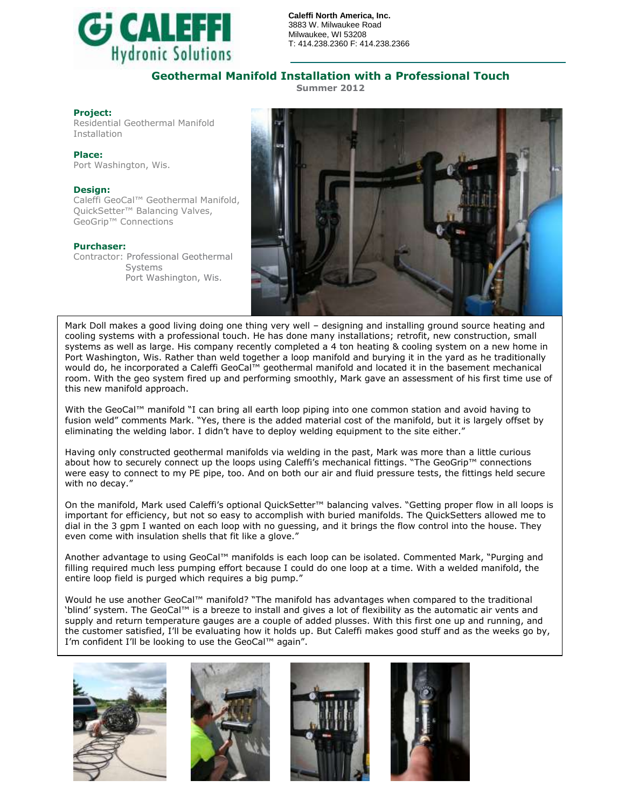

**Caleffi North America, Inc.** 3883 W. Milwaukee Road Milwaukee, WI 53208 T: 414.238.2360 F: 414.238.2366

## **Geothermal Manifold Installation with a Professional Touch**

**Summer 2012**

### **Project:**

Residential Geothermal Manifold Installation

**Place:** Port Washington, Wis.

### **Design:**

Caleffi GeoCal™ Geothermal Manifold, QuickSetter<sup>™</sup> Balancing Valves, GeoGrip™ Connections

### **Purchaser:**

Contractor: Professional Geothermal Systems Port Washington, Wis.



Mark Doll makes a good living doing one thing very well – designing and installing ground source heating and cooling systems with a professional touch. He has done many installations; retrofit, new construction, small systems as well as large. His company recently completed a 4 ton heating & cooling system on a new home in Port Washington, Wis. Rather than weld together a loop manifold and burying it in the yard as he traditionally would do, he incorporated a Caleffi GeoCal™ geothermal manifold and located it in the basement mechanical room. With the geo system fired up and performing smoothly, Mark gave an assessment of his first time use of this new manifold approach.

With the GeoCal™ manifold "I can bring all earth loop piping into one common station and avoid having to fusion weld" comments Mark. "Yes, there is the added material cost of the manifold, but it is largely offset by eliminating the welding labor. I didn't have to deploy welding equipment to the site either."

Having only constructed geothermal manifolds via welding in the past, Mark was more than a little curious about how to securely connect up the loops using Caleffi's mechanical fittings. "The GeoGrip™ connections were easy to connect to my PE pipe, too. And on both our air and fluid pressure tests, the fittings held secure with no decay."

On the manifold, Mark used Caleffi's optional QuickSetter™ balancing valves. "Getting proper flow in all loops is important for efficiency, but not so easy to accomplish with buried manifolds. The QuickSetters allowed me to dial in the 3 gpm I wanted on each loop with no guessing, and it brings the flow control into the house. They even come with insulation shells that fit like a glove."

Another advantage to using GeoCal™ manifolds is each loop can be isolated. Commented Mark, "Purging and filling required much less pumping effort because I could do one loop at a time. With a welded manifold, the entire loop field is purged which requires a big pump."

Would he use another GeoCal™ manifold? "The manifold has advantages when compared to the traditional 'blind' system. The GeoCal™ is a breeze to install and gives a lot of flexibility as the automatic air vents and supply and return temperature gauges are a couple of added plusses. With this first one up and running, and the customer satisfied, I'll be evaluating how it holds up. But Caleffi makes good stuff and as the weeks go by, I'm confident I'll be looking to use the GeoCal™ again".